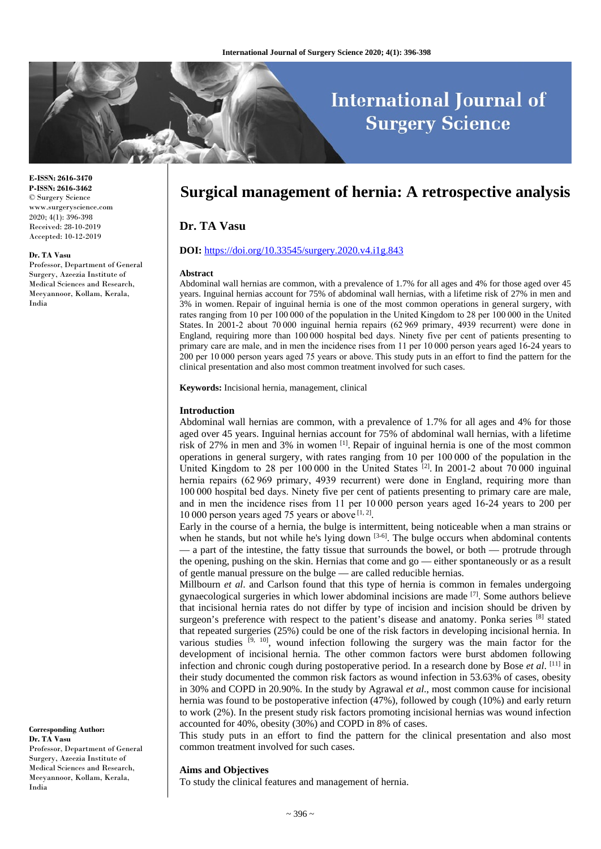# **International Journal of Surgery Science**

**E-ISSN: 2616-3470 P-ISSN: 2616-3462** © Surgery Science www.surgeryscience.com 2020; 4(1): 396-398 Received: 28-10-2019 Accepted: 10-12-2019

#### **Dr. TA Vasu**

Professor, Department of General Surgery, Azeezia Institute of Medical Sciences and Research, Meeyannoor, Kollam, Kerala, India

**Surgical management of hernia: A retrospective analysis**

# **Dr. TA Vasu**

# **DOI:** <https://doi.org/10.33545/surgery.2020.v4.i1g.843>

#### **Abstract**

Abdominal wall hernias are common, with a prevalence of 1.7% for all ages and 4% for those aged over 45 years. Inguinal hernias account for 75% of abdominal wall hernias, with a lifetime risk of 27% in men and 3% in women. Repair of inguinal hernia is one of the most common operations in general surgery, with rates ranging from 10 per 100 000 of the population in the United Kingdom to 28 per 100 000 in the United States. In 2001-2 about 70 000 inguinal hernia repairs (62 969 primary, 4939 recurrent) were done in England, requiring more than 100 000 hospital bed days. Ninety five per cent of patients presenting to primary care are male, and in men the incidence rises from 11 per 10 000 person years aged 16-24 years to 200 per 10 000 person years aged 75 years or above. This study puts in an effort to find the pattern for the clinical presentation and also most common treatment involved for such cases.

**Keywords:** Incisional hernia, management, clinical

#### **Introduction**

Abdominal wall hernias are common, with a prevalence of 1.7% for all ages and 4% for those aged over 45 years. Inguinal hernias account for 75% of abdominal wall hernias, with a lifetime risk of 27% in men and 3% in women [1]. Repair of inguinal hernia is one of the most common operations in general surgery, with rates ranging from 10 per 100 000 of the population in the United Kingdom to 28 per 100 000 in the United States  $^{[2]}$ . In 2001-2 about 70 000 inguinal hernia repairs (62 969 primary, 4939 recurrent) were done in England, requiring more than 100 000 hospital bed days. Ninety five per cent of patients presenting to primary care are male, and in men the incidence rises from 11 per 10 000 person years aged 16-24 years to 200 per 10 000 person years aged 75 years or above  $[1, 2]$ .

Early in the course of a hernia, the bulge is intermittent, being noticeable when a man strains or when he stands, but not while he's lying down  $[3-6]$ . The bulge occurs when abdominal contents — a part of the intestine, the fatty tissue that surrounds the bowel, or both — protrude through the opening, pushing on the skin. Hernias that come and go — either spontaneously or as a result of gentle manual pressure on the bulge — are called reducible hernias.

Millbourn *et al*. and Carlson found that this type of hernia is common in females undergoing gynaecological surgeries in which lower abdominal incisions are made  $[7]$ . Some authors believe that incisional hernia rates do not differ by type of incision and incision should be driven by surgeon's preference with respect to the patient's disease and anatomy. Ponka series [8] stated that repeated surgeries (25%) could be one of the risk factors in developing incisional hernia. In various studies  $[9, 10]$ , wound infection following the surgery was the main factor for the development of incisional hernia. The other common factors were burst abdomen following infection and chronic cough during postoperative period. In a research done by Bose *et al*. [11] in their study documented the common risk factors as wound infection in 53.63% of cases, obesity in 30% and COPD in 20.90%. In the study by Agrawal *et al*., most common cause for incisional hernia was found to be postoperative infection (47%), followed by cough (10%) and early return to work (2%). In the present study risk factors promoting incisional hernias was wound infection accounted for 40%, obesity (30%) and COPD in 8% of cases.

This study puts in an effort to find the pattern for the clinical presentation and also most common treatment involved for such cases.

#### **Aims and Objectives**

To study the clinical features and management of hernia.

**Corresponding Author: Dr. TA Vasu** Professor, Department of General Surgery, Azeezia Institute of Medical Sciences and Research, Meeyannoor, Kollam, Kerala, India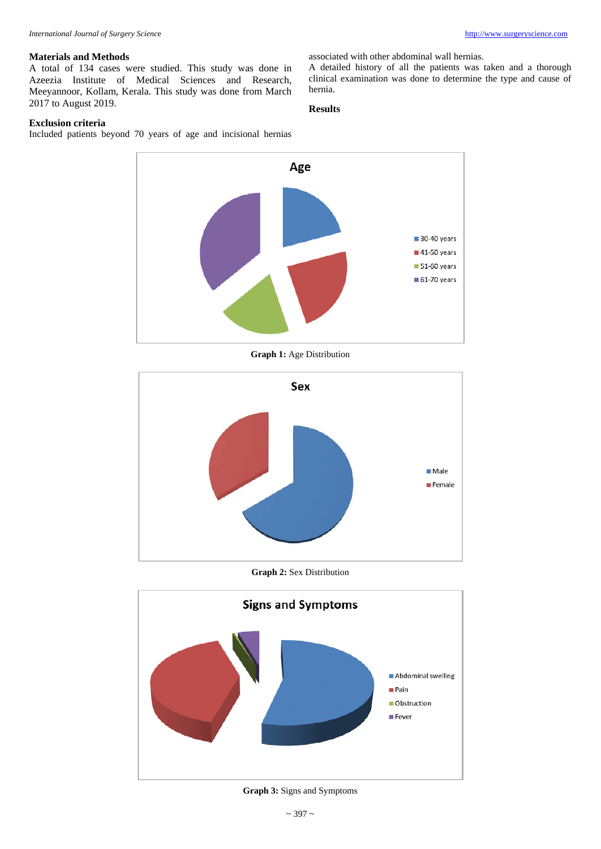associated with other abdominal wall hernias.

A detailed history of all the patients was taken and a thorough clinical examination was done to determine the type and cause of

# **Materials and Methods**

A total of 134 cases were studied. This study was done in Azeezia Institute of Medical Sciences and Research, Meeyannoor, Kollam, Kerala. This study was done from March 2017 to August 2019.

# **Exclusion criteria**

Included patients beyond 70 years of age and incisional hernias



hernia. **Results**

**Graph 1:** Age Distribution



## **Graph 2:** Sex Distribution



**Graph 3:** Signs and Symptoms